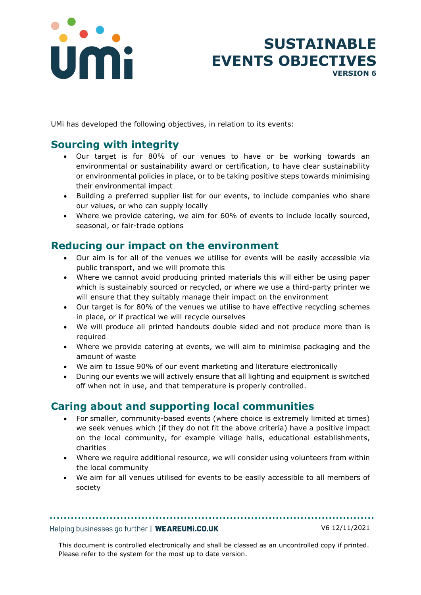

# **SUSTAINABLE EVENTS OBJECTIVES VERSION 6**

UMi has developed the following objectives, in relation to its events:

## **Sourcing with integrity**

- Our target is for 80% of our venues to have or be working towards an environmental or sustainability award or certification, to have clear sustainability or environmental policies in place, or to be taking positive steps towards minimising their environmental impact
- Building a preferred supplier list for our events, to include companies who share our values, or who can supply locally
- Where we provide catering, we aim for 60% of events to include locally sourced, seasonal, or fair-trade options

## **Reducing our impact on the environment**

- Our aim is for all of the venues we utilise for events will be easily accessible via public transport, and we will promote this
- Where we cannot avoid producing printed materials this will either be using paper which is sustainably sourced or recycled, or where we use a third-party printer we will ensure that they suitably manage their impact on the environment
- Our target is for 80% of the venues we utilise to have effective recycling schemes in place, or if practical we will recycle ourselves
- We will produce all printed handouts double sided and not produce more than is required
- Where we provide catering at events, we will aim to minimise packaging and the amount of waste
- We aim to Issue 90% of our event marketing and literature electronically
- During our events we will actively ensure that all lighting and equipment is switched off when not in use, and that temperature is properly controlled.

## **Caring about and supporting local communities**

- For smaller, community-based events (where choice is extremely limited at times) we seek venues which (if they do not fit the above criteria) have a positive impact on the local community, for example village halls, educational establishments, charities
- Where we require additional resource, we will consider using volunteers from within the local community
- We aim for all venues utilised for events to be easily accessible to all members of society

#### Helping businesses go further | WEAREUMI.CO.UK

V6 12/11/2021

This document is controlled electronically and shall be classed as an uncontrolled copy if printed. Please refer to the system for the most up to date version.